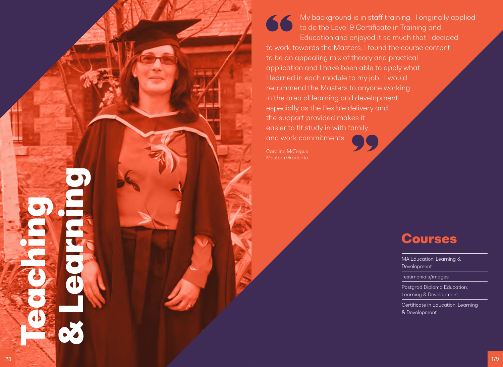# My background is in staff training. I originally applied 66 to do the Level 9 Certificate in Training and Education and enjoyed it so much that I decided

to work towards the Masters. I found the course content to be an appealing mix of theory and practical application and I have been able to apply what I learned in each module to my job. I would recommend the Masters to anyone working in the area of learning and development, especially as the flexible delivery and the support provided makes it easier to fit study in with family and work commitments.

Caroline McTeigue Masters Graduate

# Courses

MA Education, Learning & Development Testimonials/images Postgrad Diploma Education, Learning & Development

Certificate in Education, Learning & Development

**Teaching** 

& Learning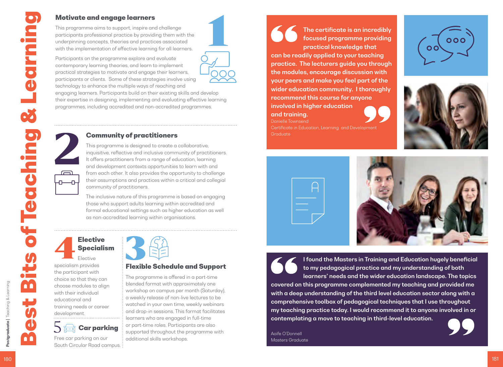# Motivate and engage learners

This programme aims to support, inspire and challenge participants professional practice by providing them with the underpinning concepts, theories and practices associated with the implementation of effective learning for all learners.

Participants on the programme explore and evaluate contemporary learning theories, and learn to implement practical strategies to motivate and engage their learners, participants or clients. Some of these strategies involve using technology to enhance the multiple ways of reaching and

engaging learners. Participants build on their existing skills and develop their expertise in designing, implementing and evaluating effective learning programmes, including accredited and non-accredited programmes.

# Community of practitioners

This programme is designed to create a collaborative, inquisitive, reflective and inclusive community of practitioners. It offers practitioners from a range of education, learning and development contexts opportunities to learn with and from each other. It also provides the opportunity to challenge their assumptions and practices within a critical and collegial community of practitioners.

The inclusive nature of this programme is based on engaging those who support adults learning within accredited and formal educational settings such as higher education as well as non-accredited learning within organisations.

# **Elective** Specialism

<u>ہے</u>

ᇚ

Elective specialism provides the participant with choice so that they can choose modules to align with their individual educational and training needs or career development.



Free car parking on our South Circular Road campus.



# Flexible Schedule and Support

The programme is offered in a part-time blended format with approximately one workshop on campus per month (Saturday), a weekly release of non-live lectures to be watched in your own time, weekly webinars and drop-in sessions. This format facilitates learners who are engaged in full-time or part-time roles. Participants are also supported throughout the programme with additional skills workshops.

The certificate is an incredibly focused programme providing practical knowledge that can be readily applied to your teaching practice. The lecturers guide you through the modules, encourage discussion with your peers and make you feel part of the wider education community. I thoroughly recommend this course for anyone involved in higher education and training.









Danielle Townsend

**Graduate** 



I found the Masters in Training and Education hugely beneficial to my pedagogical practice and my understanding of both learners' needs and the wider education landscape. The topics covered on this programme complemented my teaching and provided me with a deep understanding of the third level education sector along with a comprehensive toolbox of pedagogical techniques that I use throughout my teaching practice today. I would recommend it to anyone involved in or contemplating a move to teaching in third-level education.

Aoife O'Donnell Masters Graduate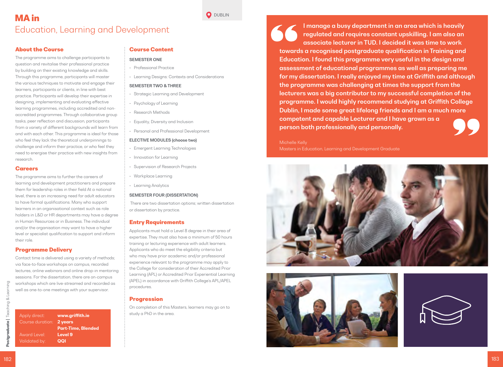# MA in Education, Learning and Development

### About the Course

The programme aims to challenge participants to question and revitalise their professional practice by building on their existing knowledge and skills. Through this programme, participants will master the various techniques to motivate and engage their learners, participants or clients, in line with best practice. Participants will develop their expertise in designing, implementing and evaluating effective learning programmes, including accredited and nonaccredited programmes. Through collaborative group tasks, peer reflection and discussion, participants from a variety of different backgrounds will learn from and with each other. This programme is ideal for those who feel they lack the theoretical underpinnings to challenge and inform their practice, or who feel they need to energise their practice with new insights from research.

#### **Careers**

The programme aims to further the careers of learning and development practitioners and prepare them for leadership roles in their field At a national level, there is an increasing need for adult educators to have formal qualifications. Many who support learners in an organisational context such as role holders in L&D or HR departments may have a degree in Human Resources or in Business. The individual and/or the organisation may want to have a higher level or specialist qualification to support and inform their role.

## Programme Delivery

Contact time is delivered using a variety of methods; via face-to-face workshops on campus, recorded lectures, online webinars and online drop-in mentoring sessions. For the dissertation, there are on-campus workshops which are live-streamed and recorded as well as one-to-one meetings with your supervisor.

Apply direct: www.griffith.ie Course duration: 2 years Part-Time, Blended Award Level: **Level 9** Validated by: **QQI** 

# Course Content

#### SEMESTER ONE

- Professional Practice
- Learning Designs: Contexts and Considerations

**O** DUBLIN

#### SEMESTER TWO & THREE

- Strategic Learning and Development
- Psychology of Learning
- Research Methods
- Equality, Diversity and Inclusion
- Personal and Professional Development

#### ELECTIVE MODULES (choose two)

- Emergent Learning Technologies
- Innovation for Learning
- Supervision of Research Projects
- Workplace Learning
- Learning Analytics

#### SEMESTER FOUR (DISSERTATION)

 There are two dissertation options; written dissertation or dissertation by practice.

#### Entry Requirements

Applicants must hold a Level 8 degree in their area of expertise. They must also have a minimum of 50 hours training or lecturing experience with adult learners. Applicants who do meet the eligibility criteria but who may have prior academic and/or professional experience relevant to the programme may apply to the College for consideration of their Accredited Prior Learning (APL) or Accredited Prior Experiential Learning (APEL) in accordance with Griffith College's APL/APEL procedures.

## **Progression**

On completion of this Masters, learners may go on to study a PhD in the area.

I manage a busy department in an area which is heavily regulated and requires constant upskilling. I am also an associate lecturer in TUD. I decided it was time to work towards a recognised postgraduate qualification in Training and Education. I found this programme very useful in the design and assessment of educational programmes as well as preparing me for my dissertation. I really enjoyed my time at Griffith and although the programme was challenging at times the support from the lecturers was a big contributor to my successful completion of the programme. I would highly recommend studying at Griffith College Dublin, I made some great lifelong friends and I am a much more competent and capable Lecturer and I have grown as a person both professionally and personally.

#### Michelle Kelly

Masters in Education, Learning and Development Graduate